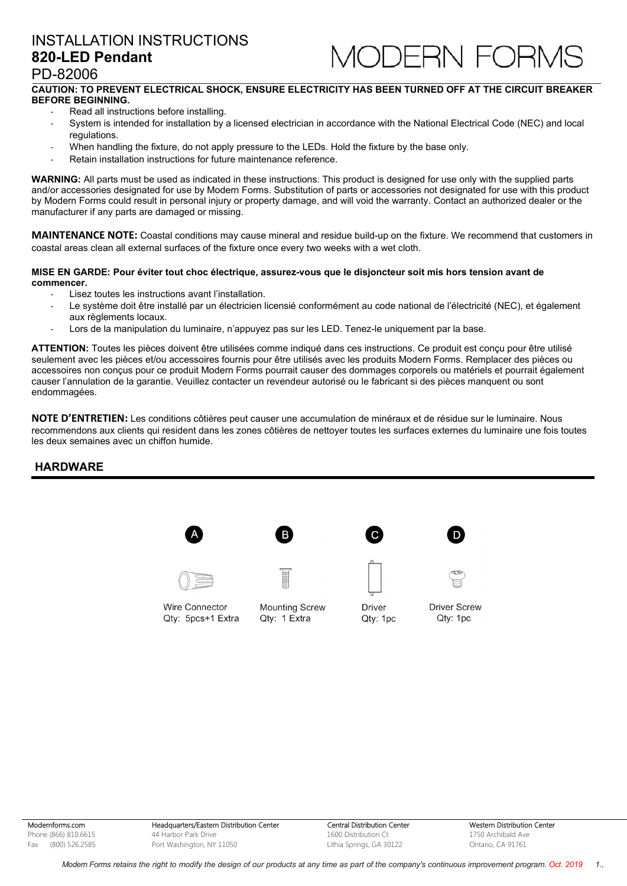

### PD-82006

### **CAUTION: TO PREVENT ELECTRICAL SHOCK, ENSURE ELECTRICITY HAS BEEN TURNED OFF AT THE CIRCUIT BREAKER BEFORE BEGINNING.**

- Read all instructions before installing.
- System is intended for installation by a licensed electrician in accordance with the National Electrical Code (NEC) and local regulations.
- When handling the fixture, do not apply pressure to the LEDs. Hold the fixture by the base only.
- Retain installation instructions for future maintenance reference.

**WARNING:** All parts must be used as indicated in these instructions. This product is designed for use only with the supplied parts and/or accessories designated for use by Modern Forms. Substitution of parts or accessories not designated for use with this product by Modern Forms could result in personal injury or property damage, and will void the warranty. Contact an authorized dealer or the manufacturer if any parts are damaged or missing.

**MAINTENANCE NOTE:** Coastal conditions may cause mineral and residue build-up on the fixture. We recommend that customers in coastal areas clean all external surfaces of the fixture once every two weeks with a wet cloth.

#### **MISE EN GARDE: Pour éviter tout choc électrique, assurez-vous que le disjoncteur soit mis hors tension avant de commencer.**

- Lisez toutes les instructions avant l'installation.
- Le système doit être installé par un électricien licensié conformément au code national de l'électricité (NEC), et également aux règlements locaux.
- Lors de la manipulation du luminaire, n'appuyez pas sur les LED. Tenez-le uniquement par la base.

**ATTENTION:** Toutes les pièces doivent être utilisées comme indiqué dans ces instructions. Ce produit est conçu pour être utilisé seulement avec les pièces et/ou accessoires fournis pour être utilisés avec les produits Modern Forms. Remplacer des pièces ou accessoires non conçus pour ce produit Modern Forms pourrait causer des dommages corporels ou matériels et pourrait également causer l'annulation de la garantie. Veuillez contacter un revendeur autorisé ou le fabricant si des pièces manquent ou sont endommagées.

**NOTE D'ENTRETIEN:** Les conditions côtières peut causer une accumulation de minéraux et de résidue sur le luminaire. Nous recommendons aux clients qui resident dans les zones côtières de nettoyer toutes les surfaces externes du luminaire une fois toutes les deux semaines avec un chiffon humide.

### **HARDWARE**



Modernforms.com Phone (866) 810.6615 Fax (800) 526.2585

Headquarters/Eastern Distribution Center 44 Harbor Park Drive Port Washington, NY 11050

Central Distribution Center 1600 Distribution Ct Lithia Springs, GA 30122

Western Distribution Center 1750 Archibald Ave Ontario, CA 91761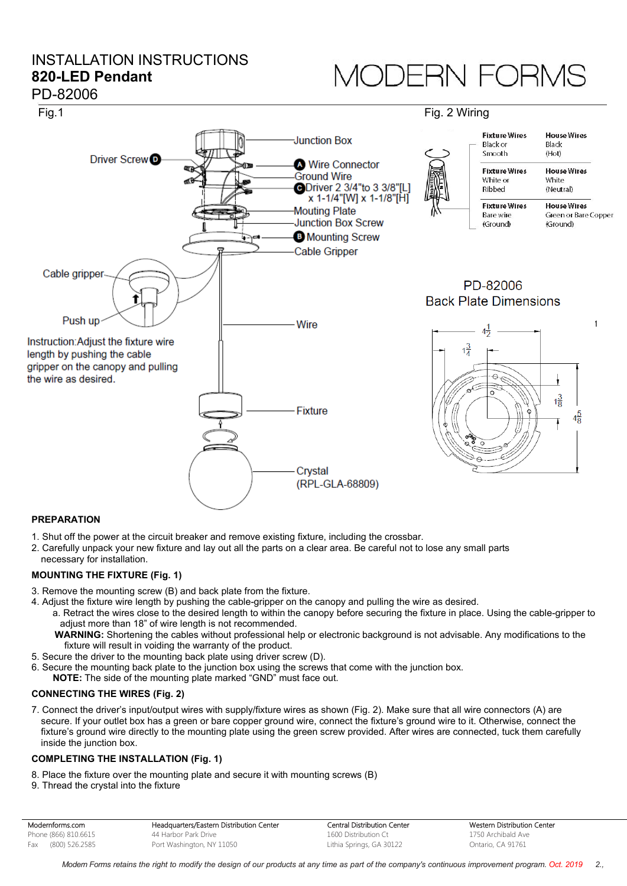# *JODERN FORMS*



### **PREPARATION**

1. Shut off the power at the circuit breaker and remove existing fixture, including the crossbar.

2. Carefully unpack your new fixture and lay out all the parts on a clear area. Be careful not to lose any small parts necessary for installation.

### **MOUNTING THE FIXTURE (Fig. 1)**

- 3. Remove the mounting screw (B) and back plate from the fixture.
- 4. Adjust the fixture wire length by pushing the cable-gripper on the canopy and pulling the wire as desired.
	- a. Retract the wires close to the desired length to within the canopy before securing the fixture in place. Using the cable-gripper to adjust more than 18" of wire length is not recommended.
	- **WARNING:** Shortening the cables without professional help or electronic background is not advisable. Any modifications to the fixture will result in voiding the warranty of the product.
- 5. Secure the driver to the mounting back plate using driver screw (D).
- 6. Secure the mounting back plate to the junction box using the screws that come with the junction box.
- **NOTE:** The side of the mounting plate marked "GND" must face out.

### **CONNECTING THE WIRES (Fig. 2)**

7. Connect the driver's input/output wires with supply/fixture wires as shown (Fig. 2). Make sure that all wire connectors (A) are secure. If your outlet box has a green or bare copper ground wire, connect the fixture's ground wire to it. Otherwise, connect the fixture's ground wire directly to the mounting plate using the green screw provided. After wires are connected, tuck them carefully inside the junction box.

### **COMPLETING THE INSTALLATION (Fig. 1)**

- 8. Place the fixture over the mounting plate and secure it with mounting screws (B)
- 9. Thread the crystal into the fixture

| Modernforms.com      | Headquarters/Eastern Distribution Center | Central Distribution Center | Western Distribution Center |
|----------------------|------------------------------------------|-----------------------------|-----------------------------|
| Phone (866) 810.6615 | 44 Harbor Park Drive                     | 1600 Distribution Ct        | 1750 Archibald Ave          |
| Fax (800) 526.2585   | Port Washington, NY 11050                | Lithia Springs, GA 30122    | Ontario, CA 91761           |

Modern Forms retains the right to modify the design of our products at any time as part of the company's continuous improvement program. Oct. 2019 2.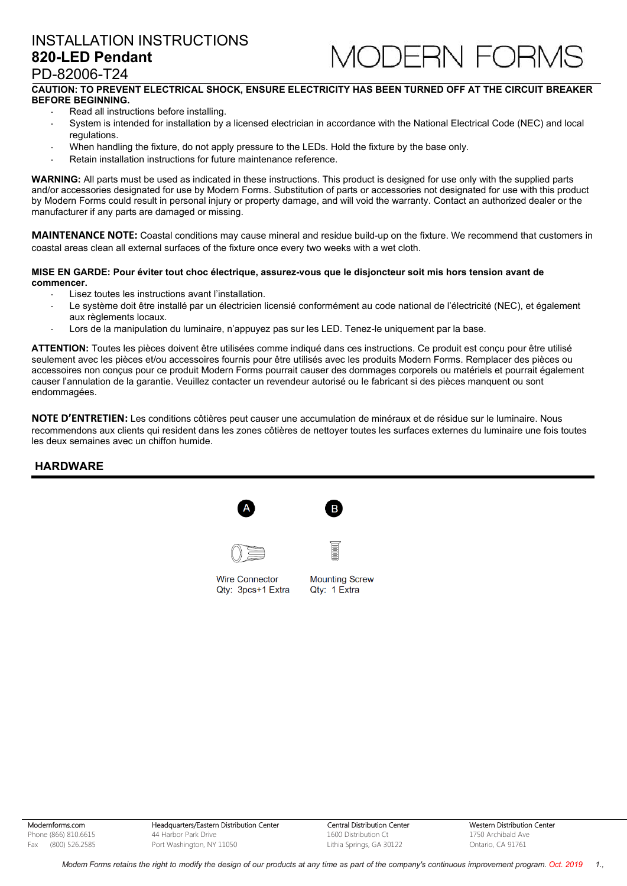

## PD-82006-T24

### **CAUTION: TO PREVENT ELECTRICAL SHOCK, ENSURE ELECTRICITY HAS BEEN TURNED OFF AT THE CIRCUIT BREAKER BEFORE BEGINNING.**

- Read all instructions before installing.
- System is intended for installation by a licensed electrician in accordance with the National Electrical Code (NEC) and local regulations.
- When handling the fixture, do not apply pressure to the LEDs. Hold the fixture by the base only.
- Retain installation instructions for future maintenance reference.

**WARNING:** All parts must be used as indicated in these instructions. This product is designed for use only with the supplied parts and/or accessories designated for use by Modern Forms. Substitution of parts or accessories not designated for use with this product by Modern Forms could result in personal injury or property damage, and will void the warranty. Contact an authorized dealer or the manufacturer if any parts are damaged or missing.

**MAINTENANCE NOTE:** Coastal conditions may cause mineral and residue build-up on the fixture. We recommend that customers in coastal areas clean all external surfaces of the fixture once every two weeks with a wet cloth.

#### **MISE EN GARDE: Pour éviter tout choc électrique, assurez-vous que le disjoncteur soit mis hors tension avant de commencer.**

- Lisez toutes les instructions avant l'installation.
- Le système doit être installé par un électricien licensié conformément au code national de l'électricité (NEC), et également aux règlements locaux.
- Lors de la manipulation du luminaire, n'appuyez pas sur les LED. Tenez-le uniquement par la base.

**ATTENTION:** Toutes les pièces doivent être utilisées comme indiqué dans ces instructions. Ce produit est conçu pour être utilisé seulement avec les pièces et/ou accessoires fournis pour être utilisés avec les produits Modern Forms. Remplacer des pièces ou accessoires non conçus pour ce produit Modern Forms pourrait causer des dommages corporels ou matériels et pourrait également causer l'annulation de la garantie. Veuillez contacter un revendeur autorisé ou le fabricant si des pièces manquent ou sont endommagées.

**NOTE D'ENTRETIEN:** Les conditions côtières peut causer une accumulation de minéraux et de résidue sur le luminaire. Nous recommendons aux clients qui resident dans les zones côtières de nettoyer toutes les surfaces externes du luminaire une fois toutes les deux semaines avec un chiffon humide.

### **HARDWARE**

| А |  |  |
|---|--|--|
|   |  |  |





<sub>R</sub>

**Wire Connector** Qty: 3pcs+1 Extra

**Mounting Screw** Qty: 1 Extra

Modernforms.com Phone (866) 810.6615 Fax (800) 526.2585